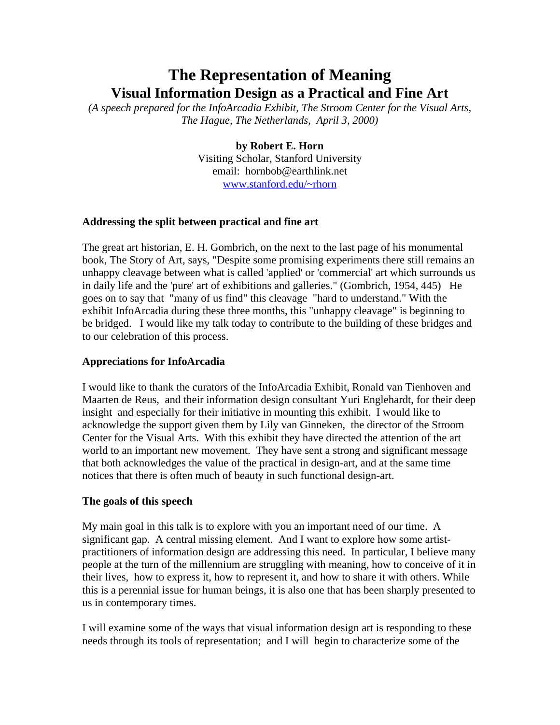# **The Representation of Meaning Visual Information Design as a Practical and Fine Art**

*(A speech prepared for the InfoArcadia Exhibit, The Stroom Center for the Visual Arts, The Hague, The Netherlands, April 3, 2000)*

> **by Robert E. Horn** Visiting Scholar, Stanford University email: hornbob@earthlink.net www.stanford.edu/~rhorn

# **Addressing the split between practical and fine art**

The great art historian, E. H. Gombrich, on the next to the last page of his monumental book, The Story of Art, says, "Despite some promising experiments there still remains an unhappy cleavage between what is called 'applied' or 'commercial' art which surrounds us in daily life and the 'pure' art of exhibitions and galleries." (Gombrich, 1954, 445) He goes on to say that "many of us find" this cleavage "hard to understand." With the exhibit InfoArcadia during these three months, this "unhappy cleavage" is beginning to be bridged. I would like my talk today to contribute to the building of these bridges and to our celebration of this process.

## **Appreciations for InfoArcadia**

I would like to thank the curators of the InfoArcadia Exhibit, Ronald van Tienhoven and Maarten de Reus, and their information design consultant Yuri Englehardt, for their deep insight and especially for their initiative in mounting this exhibit. I would like to acknowledge the support given them by Lily van Ginneken, the director of the Stroom Center for the Visual Arts. With this exhibit they have directed the attention of the art world to an important new movement. They have sent a strong and significant message that both acknowledges the value of the practical in design-art, and at the same time notices that there is often much of beauty in such functional design-art.

## **The goals of this speech**

My main goal in this talk is to explore with you an important need of our time. A significant gap. A central missing element. And I want to explore how some artistpractitioners of information design are addressing this need. In particular, I believe many people at the turn of the millennium are struggling with meaning, how to conceive of it in their lives, how to express it, how to represent it, and how to share it with others. While this is a perennial issue for human beings, it is also one that has been sharply presented to us in contemporary times.

I will examine some of the ways that visual information design art is responding to these needs through its tools of representation; and I will begin to characterize some of the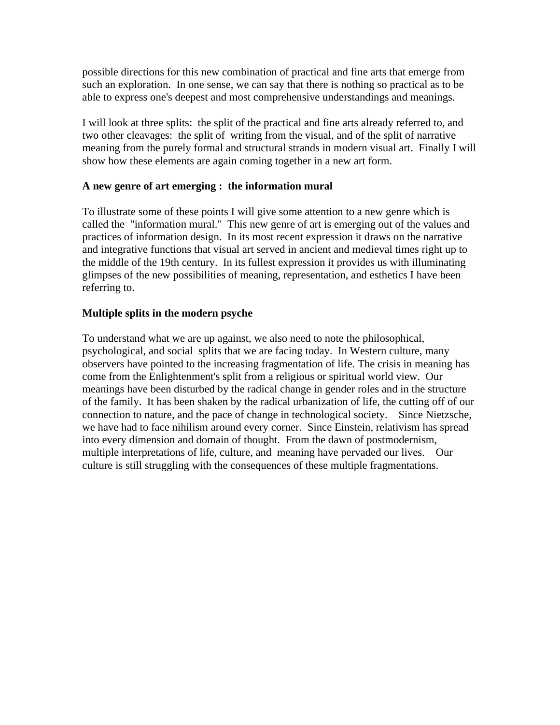possible directions for this new combination of practical and fine arts that emerge from such an exploration. In one sense, we can say that there is nothing so practical as to be able to express one's deepest and most comprehensive understandings and meanings.

I will look at three splits: the split of the practical and fine arts already referred to, and two other cleavages: the split of writing from the visual, and of the split of narrative meaning from the purely formal and structural strands in modern visual art. Finally I will show how these elements are again coming together in a new art form.

## **A new genre of art emerging : the information mural**

To illustrate some of these points I will give some attention to a new genre which is called the "information mural." This new genre of art is emerging out of the values and practices of information design. In its most recent expression it draws on the narrative and integrative functions that visual art served in ancient and medieval times right up to the middle of the 19th century. In its fullest expression it provides us with illuminating glimpses of the new possibilities of meaning, representation, and esthetics I have been referring to.

## **Multiple splits in the modern psyche**

To understand what we are up against, we also need to note the philosophical, psychological, and social splits that we are facing today. In Western culture, many observers have pointed to the increasing fragmentation of life. The crisis in meaning has come from the Enlightenment's split from a religious or spiritual world view. Our meanings have been disturbed by the radical change in gender roles and in the structure of the family. It has been shaken by the radical urbanization of life, the cutting off of our connection to nature, and the pace of change in technological society. Since Nietzsche, we have had to face nihilism around every corner. Since Einstein, relativism has spread into every dimension and domain of thought. From the dawn of postmodernism, multiple interpretations of life, culture, and meaning have pervaded our lives. Our culture is still struggling with the consequences of these multiple fragmentations.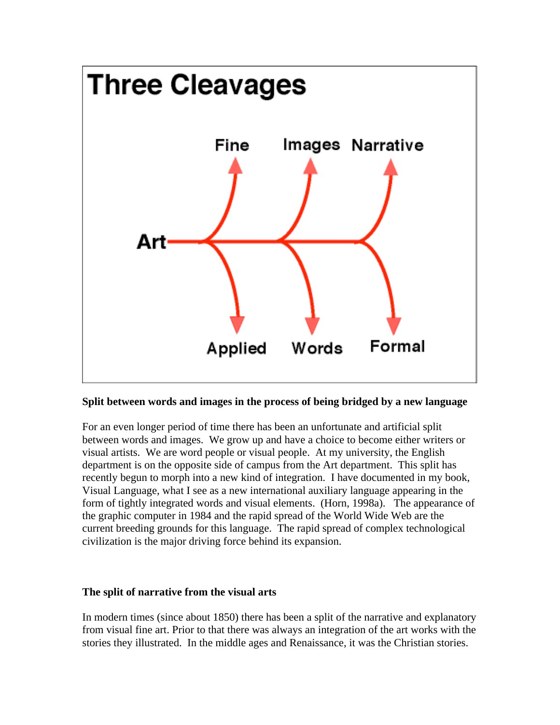

## **Split between words and images in the process of being bridged by a new language**

For an even longer period of time there has been an unfortunate and artificial split between words and images. We grow up and have a choice to become either writers or visual artists. We are word people or visual people. At my university, the English department is on the opposite side of campus from the Art department. This split has recently begun to morph into a new kind of integration. I have documented in my book, Visual Language, what I see as a new international auxiliary language appearing in the form of tightly integrated words and visual elements. (Horn, 1998a). The appearance of the graphic computer in 1984 and the rapid spread of the World Wide Web are the current breeding grounds for this language. The rapid spread of complex technological civilization is the major driving force behind its expansion.

#### **The split of narrative from the visual arts**

In modern times (since about 1850) there has been a split of the narrative and explanatory from visual fine art. Prior to that there was always an integration of the art works with the stories they illustrated. In the middle ages and Renaissance, it was the Christian stories.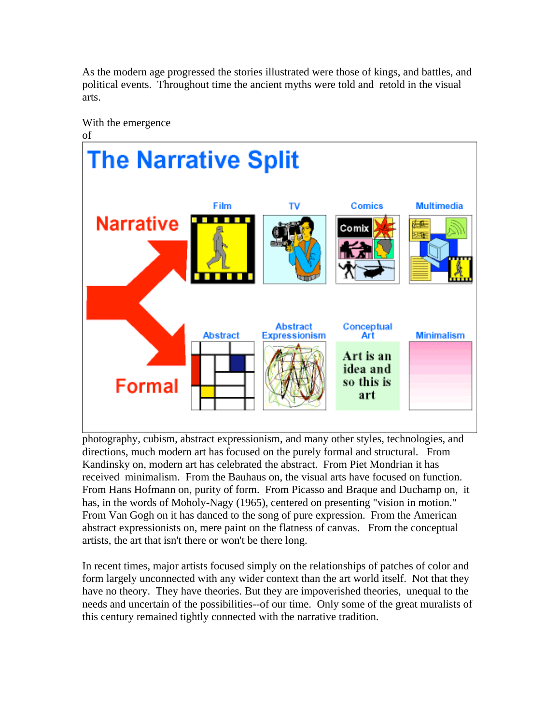As the modern age progressed the stories illustrated were those of kings, and battles, and political events. Throughout time the ancient myths were told and retold in the visual arts.



photography, cubism, abstract expressionism, and many other styles, technologies, and directions, much modern art has focused on the purely formal and structural. From Kandinsky on, modern art has celebrated the abstract. From Piet Mondrian it has received minimalism. From the Bauhaus on, the visual arts have focused on function. From Hans Hofmann on, purity of form. From Picasso and Braque and Duchamp on, it has, in the words of Moholy-Nagy (1965), centered on presenting "vision in motion." From Van Gogh on it has danced to the song of pure expression. From the American abstract expressionists on, mere paint on the flatness of canvas. From the conceptual artists, the art that isn't there or won't be there long.

In recent times, major artists focused simply on the relationships of patches of color and form largely unconnected with any wider context than the art world itself. Not that they have no theory. They have theories. But they are impoverished theories, unequal to the needs and uncertain of the possibilities--of our time. Only some of the great muralists of this century remained tightly connected with the narrative tradition.

With the emergence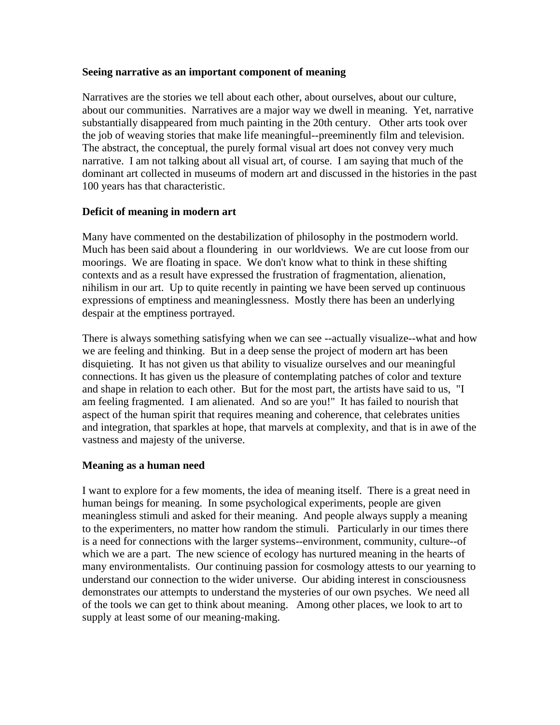#### **Seeing narrative as an important component of meaning**

Narratives are the stories we tell about each other, about ourselves, about our culture, about our communities. Narratives are a major way we dwell in meaning. Yet, narrative substantially disappeared from much painting in the 20th century. Other arts took over the job of weaving stories that make life meaningful--preeminently film and television. The abstract, the conceptual, the purely formal visual art does not convey very much narrative. I am not talking about all visual art, of course. I am saying that much of the dominant art collected in museums of modern art and discussed in the histories in the past 100 years has that characteristic.

## **Deficit of meaning in modern art**

Many have commented on the destabilization of philosophy in the postmodern world. Much has been said about a floundering in our worldviews. We are cut loose from our moorings. We are floating in space. We don't know what to think in these shifting contexts and as a result have expressed the frustration of fragmentation, alienation, nihilism in our art. Up to quite recently in painting we have been served up continuous expressions of emptiness and meaninglessness. Mostly there has been an underlying despair at the emptiness portrayed.

There is always something satisfying when we can see --actually visualize--what and how we are feeling and thinking. But in a deep sense the project of modern art has been disquieting. It has not given us that ability to visualize ourselves and our meaningful connections. It has given us the pleasure of contemplating patches of color and texture and shape in relation to each other. But for the most part, the artists have said to us, "I am feeling fragmented. I am alienated. And so are you!" It has failed to nourish that aspect of the human spirit that requires meaning and coherence, that celebrates unities and integration, that sparkles at hope, that marvels at complexity, and that is in awe of the vastness and majesty of the universe.

## **Meaning as a human need**

I want to explore for a few moments, the idea of meaning itself. There is a great need in human beings for meaning. In some psychological experiments, people are given meaningless stimuli and asked for their meaning. And people always supply a meaning to the experimenters, no matter how random the stimuli. Particularly in our times there is a need for connections with the larger systems--environment, community, culture--of which we are a part. The new science of ecology has nurtured meaning in the hearts of many environmentalists. Our continuing passion for cosmology attests to our yearning to understand our connection to the wider universe. Our abiding interest in consciousness demonstrates our attempts to understand the mysteries of our own psyches. We need all of the tools we can get to think about meaning. Among other places, we look to art to supply at least some of our meaning-making.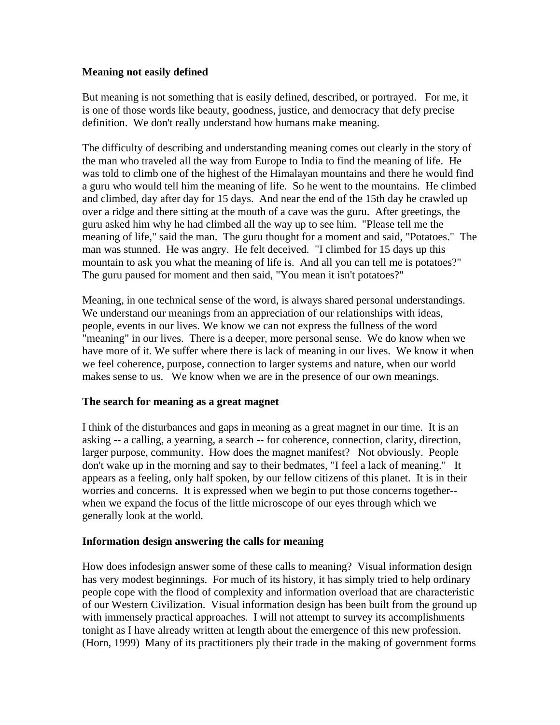## **Meaning not easily defined**

But meaning is not something that is easily defined, described, or portrayed. For me, it is one of those words like beauty, goodness, justice, and democracy that defy precise definition. We don't really understand how humans make meaning.

The difficulty of describing and understanding meaning comes out clearly in the story of the man who traveled all the way from Europe to India to find the meaning of life. He was told to climb one of the highest of the Himalayan mountains and there he would find a guru who would tell him the meaning of life. So he went to the mountains. He climbed and climbed, day after day for 15 days. And near the end of the 15th day he crawled up over a ridge and there sitting at the mouth of a cave was the guru. After greetings, the guru asked him why he had climbed all the way up to see him. "Please tell me the meaning of life," said the man. The guru thought for a moment and said, "Potatoes." The man was stunned. He was angry. He felt deceived. "I climbed for 15 days up this mountain to ask you what the meaning of life is. And all you can tell me is potatoes?" The guru paused for moment and then said, "You mean it isn't potatoes?"

Meaning, in one technical sense of the word, is always shared personal understandings. We understand our meanings from an appreciation of our relationships with ideas, people, events in our lives. We know we can not express the fullness of the word "meaning" in our lives. There is a deeper, more personal sense. We do know when we have more of it. We suffer where there is lack of meaning in our lives. We know it when we feel coherence, purpose, connection to larger systems and nature, when our world makes sense to us. We know when we are in the presence of our own meanings.

## **The search for meaning as a great magnet**

I think of the disturbances and gaps in meaning as a great magnet in our time. It is an asking -- a calling, a yearning, a search -- for coherence, connection, clarity, direction, larger purpose, community. How does the magnet manifest? Not obviously. People don't wake up in the morning and say to their bedmates, "I feel a lack of meaning." It appears as a feeling, only half spoken, by our fellow citizens of this planet. It is in their worries and concerns. It is expressed when we begin to put those concerns together- when we expand the focus of the little microscope of our eyes through which we generally look at the world.

## **Information design answering the calls for meaning**

How does infodesign answer some of these calls to meaning? Visual information design has very modest beginnings. For much of its history, it has simply tried to help ordinary people cope with the flood of complexity and information overload that are characteristic of our Western Civilization. Visual information design has been built from the ground up with immensely practical approaches. I will not attempt to survey its accomplishments tonight as I have already written at length about the emergence of this new profession. (Horn, 1999) Many of its practitioners ply their trade in the making of government forms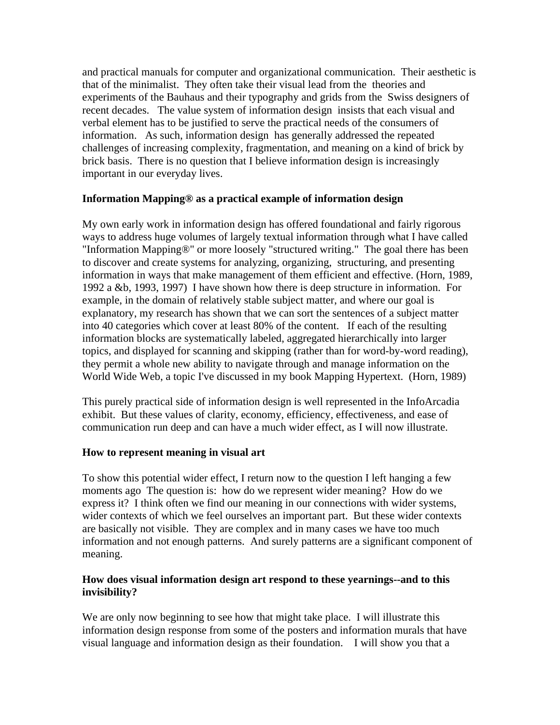and practical manuals for computer and organizational communication. Their aesthetic is that of the minimalist. They often take their visual lead from the theories and experiments of the Bauhaus and their typography and grids from the Swiss designers of recent decades. The value system of information design insists that each visual and verbal element has to be justified to serve the practical needs of the consumers of information. As such, information design has generally addressed the repeated challenges of increasing complexity, fragmentation, and meaning on a kind of brick by brick basis. There is no question that I believe information design is increasingly important in our everyday lives.

# **Information Mapping® as a practical example of information design**

My own early work in information design has offered foundational and fairly rigorous ways to address huge volumes of largely textual information through what I have called "Information Mapping®" or more loosely "structured writing." The goal there has been to discover and create systems for analyzing, organizing, structuring, and presenting information in ways that make management of them efficient and effective. (Horn, 1989, 1992 a &b, 1993, 1997) I have shown how there is deep structure in information. For example, in the domain of relatively stable subject matter, and where our goal is explanatory, my research has shown that we can sort the sentences of a subject matter into 40 categories which cover at least 80% of the content. If each of the resulting information blocks are systematically labeled, aggregated hierarchically into larger topics, and displayed for scanning and skipping (rather than for word-by-word reading), they permit a whole new ability to navigate through and manage information on the World Wide Web, a topic I've discussed in my book Mapping Hypertext. (Horn, 1989)

This purely practical side of information design is well represented in the InfoArcadia exhibit. But these values of clarity, economy, efficiency, effectiveness, and ease of communication run deep and can have a much wider effect, as I will now illustrate.

# **How to represent meaning in visual art**

To show this potential wider effect, I return now to the question I left hanging a few moments ago The question is: how do we represent wider meaning? How do we express it? I think often we find our meaning in our connections with wider systems, wider contexts of which we feel ourselves an important part. But these wider contexts are basically not visible. They are complex and in many cases we have too much information and not enough patterns. And surely patterns are a significant component of meaning.

## **How does visual information design art respond to these yearnings--and to this invisibility?**

We are only now beginning to see how that might take place. I will illustrate this information design response from some of the posters and information murals that have visual language and information design as their foundation. I will show you that a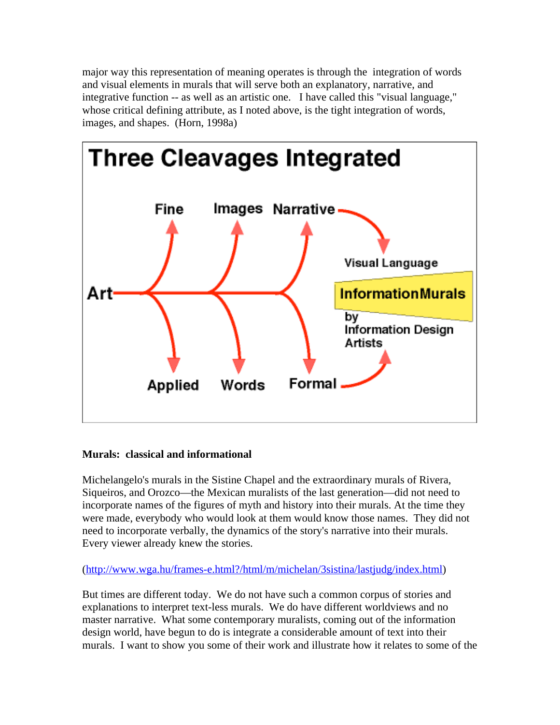major way this representation of meaning operates is through the integration of words and visual elements in murals that will serve both an explanatory, narrative, and integrative function -- as well as an artistic one. I have called this "visual language," whose critical defining attribute, as I noted above, is the tight integration of words, images, and shapes. (Horn, 1998a)



# **Murals: classical and informational**

Michelangelo's murals in the Sistine Chapel and the extraordinary murals of Rivera, Siqueiros, and Orozco—the Mexican muralists of the last generation—did not need to incorporate names of the figures of myth and history into their murals. At the time they were made, everybody who would look at them would know those names. They did not need to incorporate verbally, the dynamics of the story's narrative into their murals. Every viewer already knew the stories.

# (http://www.wga.hu/frames-e.html?/html/m/michelan/3sistina/lastjudg/index.html)

But times are different today. We do not have such a common corpus of stories and explanations to interpret text-less murals. We do have different worldviews and no master narrative. What some contemporary muralists, coming out of the information design world, have begun to do is integrate a considerable amount of text into their murals. I want to show you some of their work and illustrate how it relates to some of the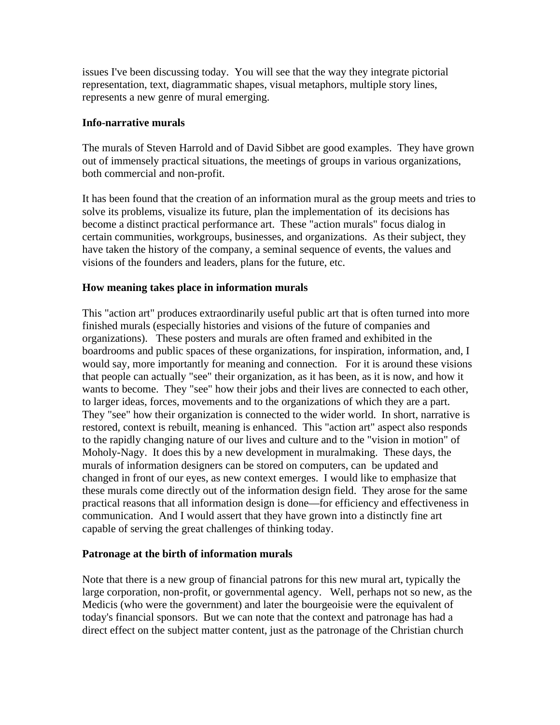issues I've been discussing today. You will see that the way they integrate pictorial representation, text, diagrammatic shapes, visual metaphors, multiple story lines, represents a new genre of mural emerging.

## **Info-narrative murals**

The murals of Steven Harrold and of David Sibbet are good examples. They have grown out of immensely practical situations, the meetings of groups in various organizations, both commercial and non-profit.

It has been found that the creation of an information mural as the group meets and tries to solve its problems, visualize its future, plan the implementation of its decisions has become a distinct practical performance art. These "action murals" focus dialog in certain communities, workgroups, businesses, and organizations. As their subject, they have taken the history of the company, a seminal sequence of events, the values and visions of the founders and leaders, plans for the future, etc.

## **How meaning takes place in information murals**

This "action art" produces extraordinarily useful public art that is often turned into more finished murals (especially histories and visions of the future of companies and organizations). These posters and murals are often framed and exhibited in the boardrooms and public spaces of these organizations, for inspiration, information, and, I would say, more importantly for meaning and connection. For it is around these visions that people can actually "see" their organization, as it has been, as it is now, and how it wants to become. They "see" how their jobs and their lives are connected to each other, to larger ideas, forces, movements and to the organizations of which they are a part. They "see" how their organization is connected to the wider world. In short, narrative is restored, context is rebuilt, meaning is enhanced. This "action art" aspect also responds to the rapidly changing nature of our lives and culture and to the "vision in motion" of Moholy-Nagy. It does this by a new development in muralmaking. These days, the murals of information designers can be stored on computers, can be updated and changed in front of our eyes, as new context emerges. I would like to emphasize that these murals come directly out of the information design field. They arose for the same practical reasons that all information design is done—for efficiency and effectiveness in communication. And I would assert that they have grown into a distinctly fine art capable of serving the great challenges of thinking today.

## **Patronage at the birth of information murals**

Note that there is a new group of financial patrons for this new mural art, typically the large corporation, non-profit, or governmental agency. Well, perhaps not so new, as the Medicis (who were the government) and later the bourgeoisie were the equivalent of today's financial sponsors. But we can note that the context and patronage has had a direct effect on the subject matter content, just as the patronage of the Christian church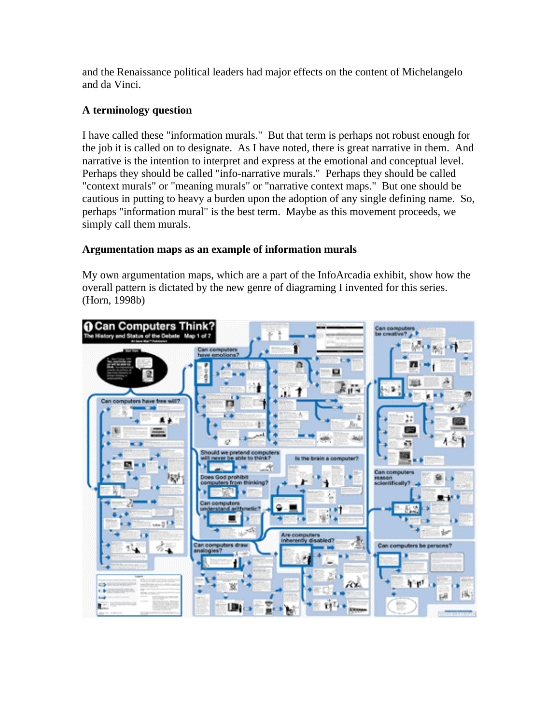and the Renaissance political leaders had major effects on the content of Michelangelo and da Vinci.

# **A terminology question**

I have called these "information murals." But that term is perhaps not robust enough for the job it is called on to designate. As I have noted, there is great narrative in them. And narrative is the intention to interpret and express at the emotional and conceptual level. Perhaps they should be called "info-narrative murals." Perhaps they should be called "context murals" or "meaning murals" or "narrative context maps." But one should be cautious in putting to heavy a burden upon the adoption of any single defining name. So, perhaps "information mural" is the best term. Maybe as this movement proceeds, we simply call them murals.

# **Argumentation maps as an example of information murals**

My own argumentation maps, which are a part of the InfoArcadia exhibit, show how the overall pattern is dictated by the new genre of diagraming I invented for this series. (Horn, 1998b)

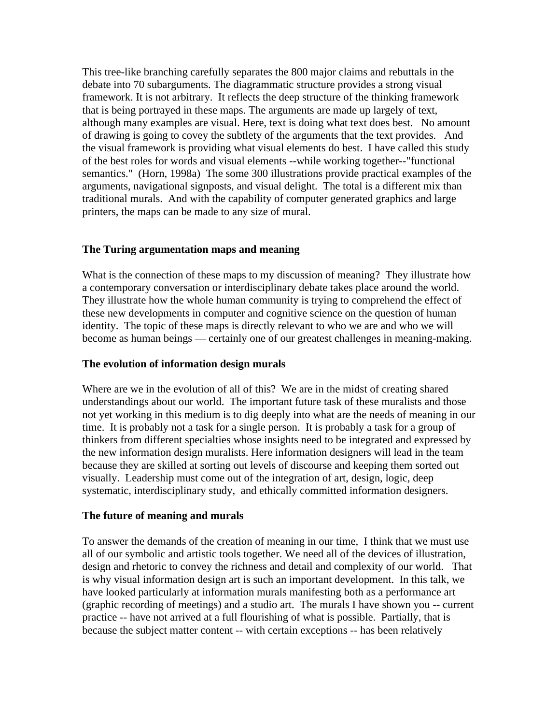This tree-like branching carefully separates the 800 major claims and rebuttals in the debate into 70 subarguments. The diagrammatic structure provides a strong visual framework. It is not arbitrary. It reflects the deep structure of the thinking framework that is being portrayed in these maps. The arguments are made up largely of text, although many examples are visual. Here, text is doing what text does best. No amount of drawing is going to covey the subtlety of the arguments that the text provides. And the visual framework is providing what visual elements do best. I have called this study of the best roles for words and visual elements --while working together--"functional semantics." (Horn, 1998a) The some 300 illustrations provide practical examples of the arguments, navigational signposts, and visual delight. The total is a different mix than traditional murals. And with the capability of computer generated graphics and large printers, the maps can be made to any size of mural.

# **The Turing argumentation maps and meaning**

What is the connection of these maps to my discussion of meaning? They illustrate how a contemporary conversation or interdisciplinary debate takes place around the world. They illustrate how the whole human community is trying to comprehend the effect of these new developments in computer and cognitive science on the question of human identity. The topic of these maps is directly relevant to who we are and who we will become as human beings — certainly one of our greatest challenges in meaning-making.

## **The evolution of information design murals**

Where are we in the evolution of all of this? We are in the midst of creating shared understandings about our world. The important future task of these muralists and those not yet working in this medium is to dig deeply into what are the needs of meaning in our time. It is probably not a task for a single person. It is probably a task for a group of thinkers from different specialties whose insights need to be integrated and expressed by the new information design muralists. Here information designers will lead in the team because they are skilled at sorting out levels of discourse and keeping them sorted out visually. Leadership must come out of the integration of art, design, logic, deep systematic, interdisciplinary study, and ethically committed information designers.

## **The future of meaning and murals**

To answer the demands of the creation of meaning in our time, I think that we must use all of our symbolic and artistic tools together. We need all of the devices of illustration, design and rhetoric to convey the richness and detail and complexity of our world. That is why visual information design art is such an important development. In this talk, we have looked particularly at information murals manifesting both as a performance art (graphic recording of meetings) and a studio art. The murals I have shown you -- current practice -- have not arrived at a full flourishing of what is possible. Partially, that is because the subject matter content -- with certain exceptions -- has been relatively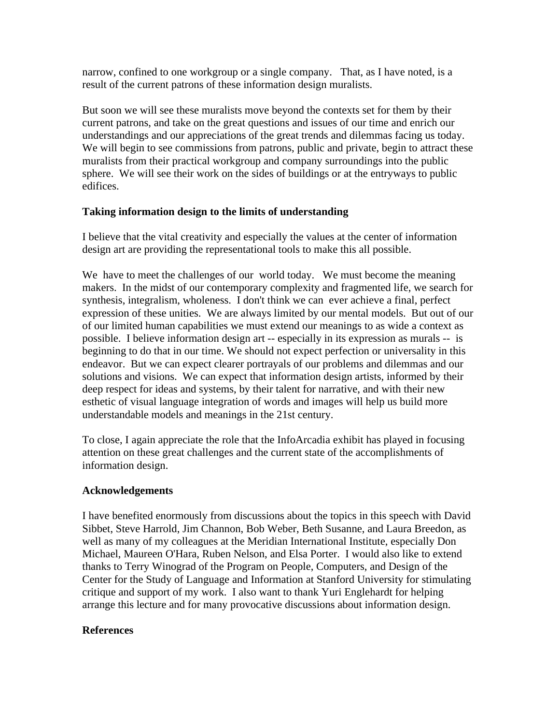narrow, confined to one workgroup or a single company. That, as I have noted, is a result of the current patrons of these information design muralists.

But soon we will see these muralists move beyond the contexts set for them by their current patrons, and take on the great questions and issues of our time and enrich our understandings and our appreciations of the great trends and dilemmas facing us today. We will begin to see commissions from patrons, public and private, begin to attract these muralists from their practical workgroup and company surroundings into the public sphere. We will see their work on the sides of buildings or at the entryways to public edifices.

# **Taking information design to the limits of understanding**

I believe that the vital creativity and especially the values at the center of information design art are providing the representational tools to make this all possible.

We have to meet the challenges of our world today. We must become the meaning makers. In the midst of our contemporary complexity and fragmented life, we search for synthesis, integralism, wholeness. I don't think we can ever achieve a final, perfect expression of these unities. We are always limited by our mental models. But out of our of our limited human capabilities we must extend our meanings to as wide a context as possible. I believe information design art -- especially in its expression as murals -- is beginning to do that in our time. We should not expect perfection or universality in this endeavor. But we can expect clearer portrayals of our problems and dilemmas and our solutions and visions. We can expect that information design artists, informed by their deep respect for ideas and systems, by their talent for narrative, and with their new esthetic of visual language integration of words and images will help us build more understandable models and meanings in the 21st century.

To close, I again appreciate the role that the InfoArcadia exhibit has played in focusing attention on these great challenges and the current state of the accomplishments of information design.

## **Acknowledgements**

I have benefited enormously from discussions about the topics in this speech with David Sibbet, Steve Harrold, Jim Channon, Bob Weber, Beth Susanne, and Laura Breedon, as well as many of my colleagues at the Meridian International Institute, especially Don Michael, Maureen O'Hara, Ruben Nelson, and Elsa Porter. I would also like to extend thanks to Terry Winograd of the Program on People, Computers, and Design of the Center for the Study of Language and Information at Stanford University for stimulating critique and support of my work. I also want to thank Yuri Englehardt for helping arrange this lecture and for many provocative discussions about information design.

# **References**